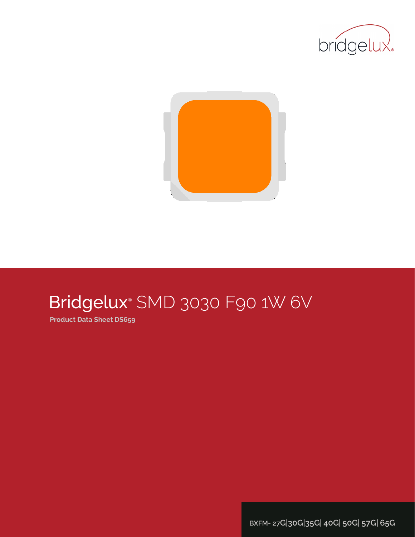



# Bridgelux® SMD 3030 F90 1W 6V

**Product Data Sheet DS659**

**BXFM- 27G|30G|35G| 40G| 50G| 57G| 65G**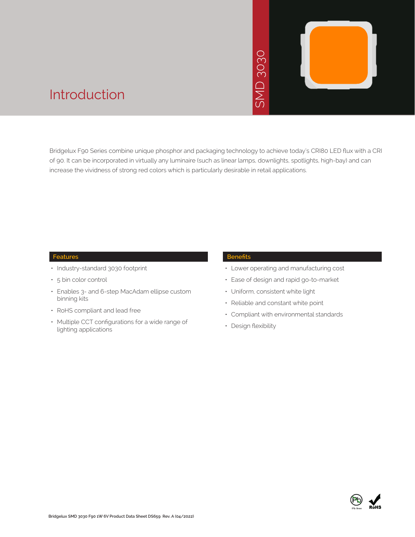# D3030 **JNS**



## Introduction

Bridgelux F90 Series combine unique phosphor and packaging technology to achieve today's CRI80 LED flux with a CRI of 90. It can be incorporated in virtually any luminaire (such as linear lamps, downlights, spotlights, high-bay) and can increase the vividness of strong red colors which is particularly desirable in retail applications. • Contract the chinology to achieved and the star and the star of desirable in retail as<br>
• Ease of design a<br>
• Contract of design a<br>
• Compliant with e<br>
• Compliant with e<br>
• Design flexibility

#### **Features**

- Industry-standard 3030 footprint
- 5 bin color control
- Enables 3- and 6-step MacAdam ellipse custom binning kits
- RoHS compliant and lead free
- Multiple CCT configurations for a wide range of lighting applications

#### **Benefits**

- Lower operating and manufacturing cost
- Ease of design and rapid go-to-market
- Uniform, consistent white light
- Reliable and constant white point
- Compliant with environmental standards
- · Design flexibility

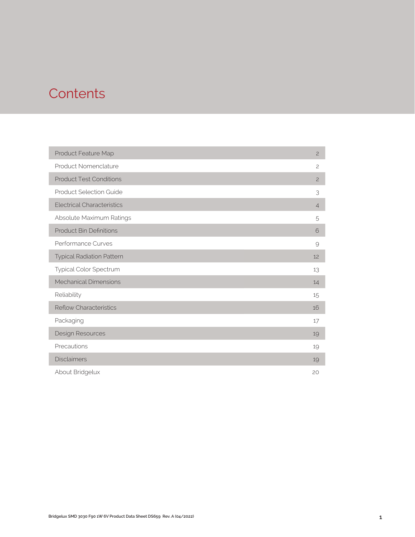# **Contents**

| Product Feature Map               | $\overline{c}$ |
|-----------------------------------|----------------|
| Product Nomenclature              | $\overline{c}$ |
| <b>Product Test Conditions</b>    | $\overline{c}$ |
| Product Selection Guide           | 3              |
| <b>Electrical Characteristics</b> | $\overline{4}$ |
| Absolute Maximum Ratings          | 5              |
| <b>Product Bin Definitions</b>    | 6              |
| Performance Curves                | 9              |
| <b>Typical Radiation Pattern</b>  | 12             |
| Typical Color Spectrum            | 13             |
| <b>Mechanical Dimensions</b>      | 14             |
| Reliability                       | 15             |
| <b>Reflow Characteristics</b>     | 16             |
| Packaging                         | 17             |
| Design Resources                  | 19             |
| Precautions                       | 19             |
| <b>Disclaimers</b>                | 19             |
| About Bridgelux                   | 20             |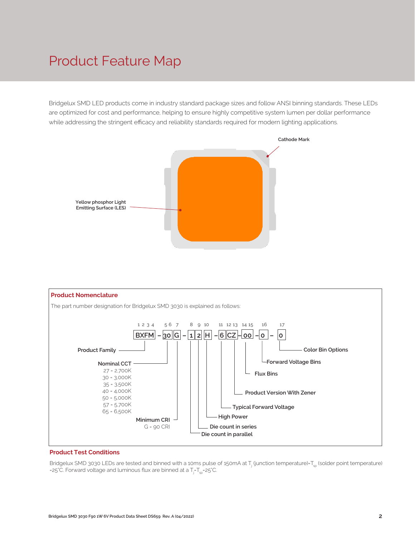# Product Feature Map

Bridgelux SMD LED products come in industry standard package sizes and follow ANSI binning standards. These LEDs are optimized for cost and performance, helping to ensure highly competitive system lumen per dollar performance while addressing the stringent efficacy and reliability standards required for modern lighting applications.





#### **Product Test Conditions**

Bridgelux SMD 3030 LEDs are tested and binned with a 10ms pulse of 150mA at T<sub>j</sub> (junction temperature)=T<sub>sp</sub> (solder point temperature) =25°C. Forward voltage and luminous flux are binned at a  $\mathsf{T}_{\mathsf{j}}\mathsf{-}\mathsf{T}_{\mathsf{sp}}\mathsf{=}$ 25°C.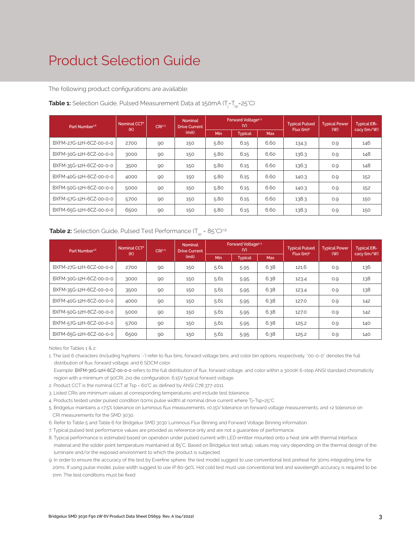# Product Selection Guide

The following product configurations are available:

| Part Number <sup>1,6</sup> | Nominal CCT <sup>2</sup><br>CRI3-5 |    | <b>Nominal</b><br><b>Drive Current</b> | Forward Voltage <sup>4.5</sup><br>(V) |                |            | <b>Typical Pulsed</b>  | <b>Typical Power</b> | <b>Typical Effi-</b> |
|----------------------------|------------------------------------|----|----------------------------------------|---------------------------------------|----------------|------------|------------------------|----------------------|----------------------|
|                            | (K)                                |    | (mA)                                   | Min                                   | <b>Typical</b> | <b>Max</b> | Flux (lm) <sup>5</sup> | (W)                  | cacy (lm/W)          |
| BXFM-27G-12H-6CZ-00-0-0    | 2700                               | 90 | 150                                    | 5.80                                  | 6.15           | 6.60       | 134.3                  | 0.9                  | 146                  |
| BXFM-30G-12H-6CZ-00-0-0    | 3000                               | 90 | 150                                    | 5.80                                  | 6.15           | 6.60       | 136.3                  | 0.9                  | 148                  |
| BXFM-35G-12H-6CZ-00-0-0    | 3500                               | 90 | 150                                    | 5.80                                  | 6.15           | 6.60       | 136.3                  | 0.9                  | 148                  |
| BXFM-40G-12H-6CZ-00-0-0    | 4000                               | 90 | 150                                    | 5.80                                  | 6.15           | 6.60       | 140.3                  | 0.9                  | 152                  |
| BXFM-50G-12H-6CZ-00-0-0    | 5000                               | 90 | 150                                    | 5.80                                  | 6.15           | 6.60       | 140.3                  | 0.9                  | 152                  |
| BXFM-57G-12H-6CZ-00-0-0    | 5700                               | 90 | 150                                    | 5.80                                  | 6.15           | 6.60       | 138.3                  | 0.9                  | 150                  |
| BXFM-65G-12H-6CZ-00-0-0    | 6500                               | 90 | 150                                    | 5.80                                  | 6.15           | 6.60       | 138.3                  | O.9                  | 150                  |

#### **Table 1:** Selection Guide, Pulsed Measurement Data at 150mA (T<sub>j</sub>=T<sub>sp</sub>=25°C)

#### **Table 2:** Selection Guide, Pulsed Test Performance  $(T_{sn} = 85^{\circ}C)^{7,8}$

| Part Number <sup>1,6</sup> | Nominal CCT <sup>2</sup><br>(K) | CRI3.5 | <b>Nominal</b><br><b>Drive Current</b> | Forward Voltage <sup>4.5</sup><br>(V) |                |            | <b>Typical Pulsed</b><br>Flux (lm) <sup>5</sup> | <b>Typical Power</b> | <b>Typical Effi-</b> |
|----------------------------|---------------------------------|--------|----------------------------------------|---------------------------------------|----------------|------------|-------------------------------------------------|----------------------|----------------------|
|                            |                                 |        | (mA)                                   | Min                                   | <b>Typical</b> | <b>Max</b> |                                                 | (W)                  | cacy (lm/W)          |
| BXFM-27G-12H-6CZ-00-0-0    | 2700                            | 90     | 150                                    | 5.61                                  | 5.95           | 6.38       | 121.6                                           | 0.9                  | 136                  |
| BXFM-30G-12H-6CZ-00-0-0    | 3000                            | 90     | 150                                    | 5.61                                  | 5.95           | 6.38       | 123.4                                           | 0.9                  | 138                  |
| BXFM-35G-12H-6CZ-00-0-0    | 3500                            | 90     | 150                                    | 5.61                                  | 5.95           | 6.38       | 123.4                                           | 0.9                  | 138                  |
| BXFM-40G-12H-6CZ-00-0-0    | 4000                            | 90     | 150                                    | 5.61                                  | 5.95           | 6.38       | 127.0                                           | 0.9                  | 142                  |
| BXFM-50G-12H-6CZ-00-0-0    | 5000                            | 90     | 150                                    | 5.61                                  | 5.95           | 6.38       | 127.0                                           | 0.9                  | 142                  |
| BXFM-57G-12H-6CZ-00-0-0    | 5700                            | 90     | 150                                    | 5.61                                  | 5.95           | 6.38       | 125.2                                           | 0.9                  | 140                  |
| BXFM-65G-12H-6CZ-00-0-0    | 6500                            | 90     | 150                                    | 5.61                                  | 5.95           | 6.38       | 125.2                                           | O.9                  | 140                  |

Notes for Tables 1 & 2:

1. The last 6 characters (including hyphens '-') refer to flux bins, forward voltage bins, and color bin options, respectively. "00-0-0" denotes the full distribution of flux, forward voltage, and 6 SDCM color.

 Example: BXFM-30G-12H-6CZ-00-0-0 refers to the full distribution of flux, forward voltage, and color within a 3000K 6-step ANSI standard chromaticity region with a minimum of 90CRI, 2x1 die configuration, 6.15V typical forward voltage.

2. Product CCT is the nominal CCT at Tsp = 60°C as defined by ANSI C78.377-2011.

3. Listed CRIs are minimum values at corresponding temperatures and include test tolerance.

4. Products tested under pulsed condition (10ms pulse width) at nominal drive current where Tj=Tsp=25°C.

5. Bridgelux maintains a ±7.5% tolerance on luminous flux measurements, ±0.15V tolerance on forward voltage measurements, and ±2 tolerance on CRI measurements for the SMD 3030.

6. Refer to Table 5 and Table 6 for Bridgelux SMD 3030 Luminous Flux Binning and Forward Voltage Binning information.

7. Typical pulsed test performance values are provided as reference only and are not a guarantee of performance.

8. Typical performance is estimated based on operation under pulsed current with LED emitter mounted onto a heat sink with thermal interface material and the solder point temperature maintained at 85°C. Based on Bridgelux test setup, values may vary depending on the thermal design of the luminaire and/or the exposed environment to which the product is subjected.

9. In order to ensure the accuracy of the test by Everfine sphere the test model suggest to use conventional test preheat for 30ms integrating time for 20ms. If using pulse model, pulse width suggest to use IP 80-90%. Hot cold test must use conventional test and wavelength accuracy is required to be 1nm. The test conditions must be fixed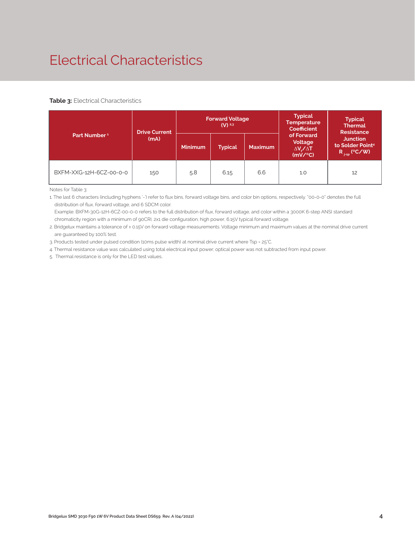# Electrical Characteristics

#### **Table 3: Electrical Characteristics**

|                          | <b>Drive Current</b> |                | <b>Forward Voltage</b><br>$(V)$ <sup>2,3</sup> |                | <b>Typical</b><br><b>Temperature</b><br><b>Coefficient</b>  | <b>Typical</b><br><b>Thermal</b><br><b>Resistance</b><br><b>Junction</b><br>to Solder Point <sup>4</sup><br>$R_{j-sp}$ (°C/W) |  |
|--------------------------|----------------------|----------------|------------------------------------------------|----------------|-------------------------------------------------------------|-------------------------------------------------------------------------------------------------------------------------------|--|
| Part Number <sup>1</sup> | (mA)                 | <b>Minimum</b> | <b>Typical</b>                                 | <b>Maximum</b> | of Forward<br>Voltage<br>$\Delta V \sim \Delta T$<br>(mV/C) |                                                                                                                               |  |
| BXFM-XXG-12H-6CZ-00-0-0  | 150                  | 5.8            | 6.15                                           | 6.6            | 1.0                                                         | 12                                                                                                                            |  |

Notes for Table 3:

1. The last 6 characters (including hyphens '-') refer to flux bins, forward voltage bins, and color bin options, respectively. "00-0-0" denotes the full distribution of flux, forward voltage, and 6 SDCM color.

 Example: BXFM-30G-12H-6CZ-00-0-0 refers to the full distribution of flux, forward voltage, and color within a 3000K 6-step ANSI standard chromaticity region with a minimum of 90CRI, 2x1 die configuration, high power, 6.15V typical forward voltage.

2. Bridgelux maintains a tolerance of ± 0.15V on forward voltage measurements. Voltage minimum and maximum values at the nominal drive current are guaranteed by 100% test.

3. Products tested under pulsed condition (10ms pulse width) at nominal drive current where Tsp = 25°C.

4. Thermal resistance value was calculated using total electrical input power; optical power was not subtracted from input power.

5. Thermal resistance is only for the LED test values.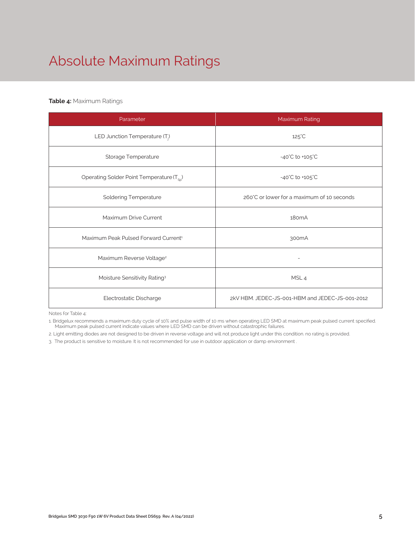# Absolute Maximum Ratings

#### **Table 4:** Maximum Ratings

| Parameter                                             | Maximum Rating                                  |  |  |
|-------------------------------------------------------|-------------------------------------------------|--|--|
| LED Junction Temperature $(T_i)$                      | $125^{\circ}$ C                                 |  |  |
| Storage Temperature                                   | $-40^{\circ}$ C to $+105^{\circ}$ C             |  |  |
| Operating Solder Point Temperature (T <sub>Sp</sub> ) | $-40^{\circ}$ C to $+105^{\circ}$ C             |  |  |
| <b>Soldering Temperature</b>                          | 260°C or lower for a maximum of 10 seconds      |  |  |
| Maximum Drive Current                                 | 180 <sub>m</sub> A                              |  |  |
| Maximum Peak Pulsed Forward Current <sup>1</sup>      | 300 <sub>m</sub> A                              |  |  |
| Maximum Reverse Voltage <sup>2</sup>                  |                                                 |  |  |
| Moisture Sensitivity Rating <sup>3</sup>              | MSL <sub>4</sub>                                |  |  |
| Electrostatic Discharge                               | 2kV HBM. JEDEC-JS-001-HBM and JEDEC-JS-001-2012 |  |  |

Notes for Table 4:

1. Bridgelux recommends a maximum duty cycle of 10% and pulse width of 10 ms when operating LED SMD at maximum peak pulsed current specified. Maximum peak pulsed current indicate values where LED SMD can be driven without catastrophic failures.

2. Light emitting diodes are not designed to be driven in reverse voltage and will not produce light under this condition. no rating is provided.

3. The product is sensitive to moisture. It is not recommended for use in outdoor application or damp environment .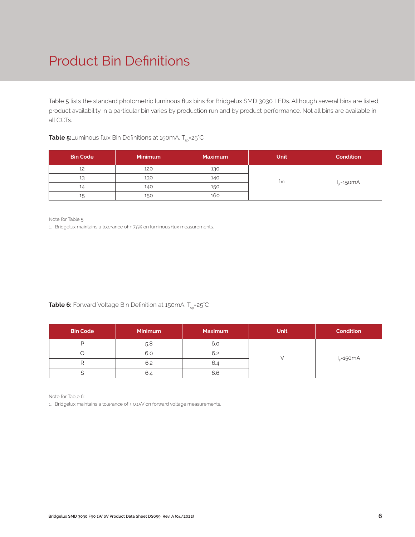# Product Bin Definitions

Table 5 lists the standard photometric luminous flux bins for Bridgelux SMD 3030 LEDs. Although several bins are listed, product availability in a particular bin varies by production run and by product performance. Not all bins are available in all CCTs.

**Table 5:**Luminous flux Bin Definitions at 150mA, T<sub>sp</sub>=25<sup>°</sup>C

| <b>Bin Code</b> | <b>Minimum</b> | <b>Maximum</b> | <b>Unit</b> | <b>Condition</b> |
|-----------------|----------------|----------------|-------------|------------------|
| 12              | 120            | 130            |             |                  |
| 13              | 130            | 140            | 1m          |                  |
| 14              | 140            | 150            |             | $I_F = 150mA$    |
| 15              | 150            | 160            |             |                  |

Note for Table 5:

1. Bridgelux maintains a tolerance of ±7.5% on luminous flux measurements.

**Table 6:** Forward Voltage Bin Definition at 150mA, T<sub>sp</sub>=25°C

| <b>Bin Code</b> | <b>Minimum</b> | <b>Maximum</b> | <b>Unit</b> | <b>Condition</b> |
|-----------------|----------------|----------------|-------------|------------------|
|                 | 5.8            | 6.0            |             |                  |
|                 | 6.0            | 6.2            |             |                  |
|                 | 6.2            | 6.4            |             | $IF=150mA$       |
|                 | 6.4            | 6.6            |             |                  |

Note for Table 6:

1. Bridgelux maintains a tolerance of ± 0.15V on forward voltage measurements.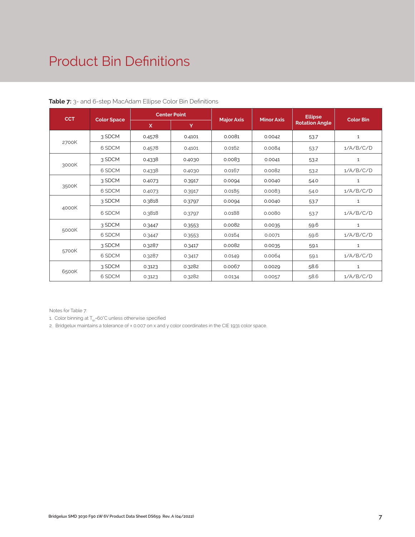# Product Bin Definitions

| <b>CCT</b> |                    | <b>Center Point</b> |        |                   | <b>Minor Axis</b> | <b>Ellipse</b>        | <b>Color Bin</b> |
|------------|--------------------|---------------------|--------|-------------------|-------------------|-----------------------|------------------|
|            | <b>Color Space</b> | X                   | Y      | <b>Major Axis</b> |                   | <b>Rotation Angle</b> |                  |
|            | 3 SDCM             | 0.4578              | 0.4101 | 0.0081            | 0.0042            | 53.7                  | $1\,$            |
| 2700K      | 6 SDCM             | 0.4578              | 0.4101 | 0.0162            | 0.0084            | 53.7                  | 1/A/B/C/D        |
|            | 3 SDCM             | 0.4338              | 0.4030 | 0.0083            | 0.0041            | 53.2                  | $\mathbf{1}$     |
| 3000K      | 6 SDCM             | 0.4338              | 0.4030 | 0.0167            | 0.0082            | 53.2                  | 1/A/B/C/D        |
|            | 3 SDCM             | 0.4073              | 0.3917 | 0.0094            | 0.0040            | 54.0                  | $\mathbf{1}$     |
| 3500K      | 6 SDCM             | 0.4073              | 0.3917 | 0.0185            | 0.0083            | 54.0                  | 1/A/B/C/D        |
|            | 3 SDCM             | 0.3818              | 0.3797 | 0.0094            | 0.0040            | 53.7                  | $\mathbf{1}$     |
| 4000K      | 6 SDCM             | 0.3818              | 0.3797 | 0.0188            | 0.0080            | 53.7                  | 1/A/B/C/D        |
|            | 3 SDCM             | 0.3447              | 0.3553 | 0.0082            | 0.0035            | 59.6                  | $\mathbf{1}$     |
| 5000K      | 6 SDCM             | 0.3447              | 0.3553 | 0.0164            | 0.0071            | 59.6                  | 1/A/B/C/D        |
|            | 3 SDCM             | 0.3287              | 0.3417 | 0.0082            | 0.0035            | 59.1                  | $\mathbf{1}$     |
| 5700K      | 6 SDCM             | 0.3287              | 0.3417 | 0.0149            | 0.0064            | 59.1                  | 1/A/B/C/D        |
|            | 3 SDCM             | 0.3123              | 0.3282 | 0.0067            | 0.0029            | 58.6                  | $\mathbf{1}$     |
| 6500K      | 6 SDCM             | 0.3123              | 0.3282 | 0.0134            | 0.0057            | 58.6                  | 1/A/B/C/D        |

#### **Table 7:** 3- and 6-step MacAdam Ellipse Color Bin Definitions

Notes for Table 7:

1. Color binning at  $T_{\rm{so}}$ =60°C unless otherwise specified

2. Bridgelux maintains a tolerance of ± 0.007 on x and y color coordinates in the CIE 1931 color space.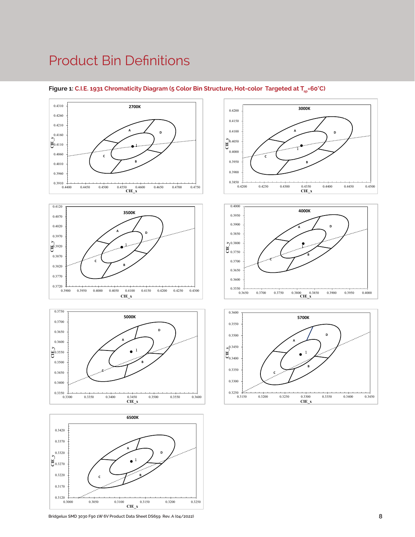### Product Bin Definitions















Figure 1: C.I.E. 1931 Chromaticity Diagram (5 Color Bin Structure, Hot-color Targeted at T<sub>sp</sub>=60°C)

**Bridgelux SMD 3030 F90 1W 6V Product Data Sheet DS659 Rev. A (04/2022)**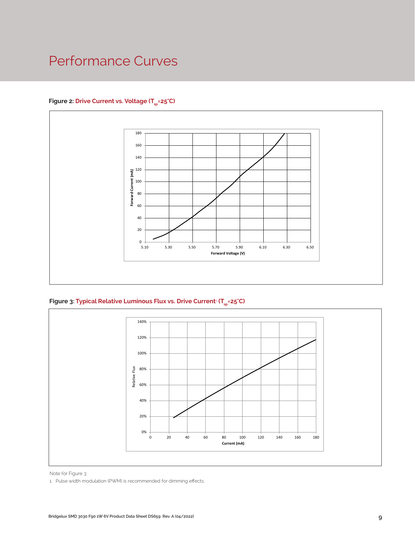# Performance Curves

#### Figure 2: Drive Current vs. Voltage (T<sub>sp</sub>=25°C)



**Figure 3: Typical Relative Luminous Flux vs. Drive Current**<sup>1</sup>  **(Tsp=25°C)**



Note for Figure 3:

1. Pulse width modulation (PWM) is recommended for dimming effects.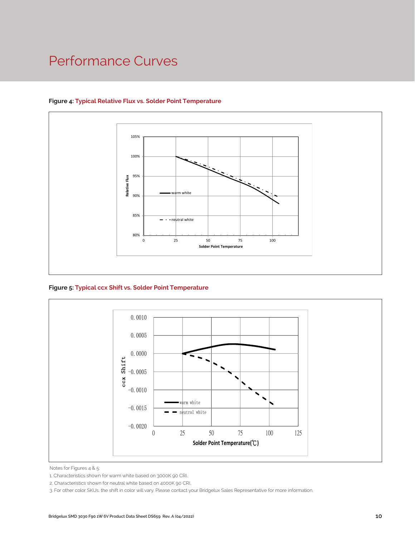# Performance Curves



#### **Figure 4: Typical Relative Flux vs. Solder Point Temperature**

**Figure 5: Typical ccx Shift vs. Solder Point Temperature**



Notes for Figures 4 & 5:

2. Characteristics shown for neutral white based on 4000K 90 CRI.

3. For other color SKUs, the shift in color will vary. Please contact your Bridgelux Sales Representative for more information.

<sup>1.</sup> Characteristics shown for warm white based on 3000K 90 CRI.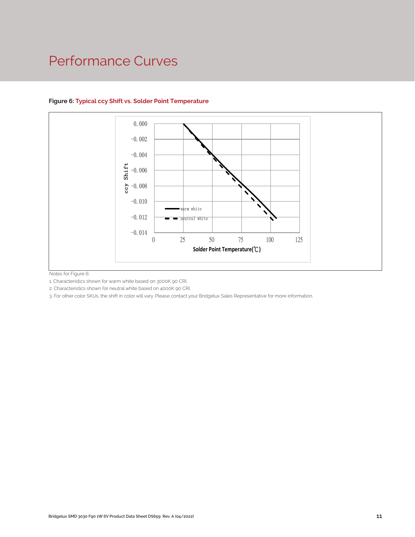### Performance Curves



#### **Figure 6: Typical ccy Shift vs. Solder Point Temperature**

Notes for Figure 6:

1. Characteristics shown for warm white based on 3000K 90 CRI.

2. Characteristics shown for neutral white based on 4000K 90 CRI.

.<br>Pl.<br>your Bridgelux Sales Representative for more information<br>of the Sales Representative for more information<br>of the Sales Representative for more information<br>of the Sales Representative for more information of the Sales 3. For other color SKUs, the shift in color will vary. Please contact your Bridgelux Sales Representative for more information.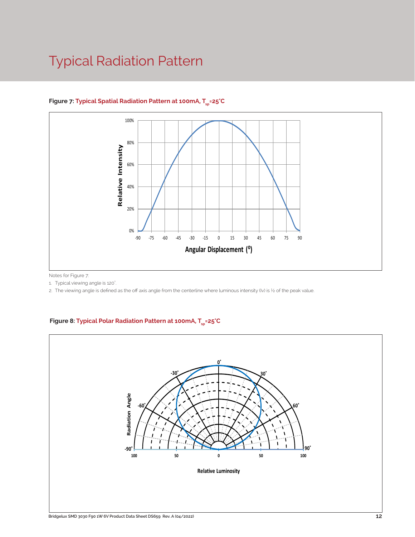# Typical Radiation Pattern



#### Figure 7: Typical Spatial Radiation Pattern at 100mA, T<sub>en</sub>=25°C

Notes for Figure 7:

1. Typical viewing angle is 120°. .

2. The viewing angle is defined as the off axis angle from the centerline where luminous intensity (Iv) is ½ of the peak value.

#### Figure 8: Typical Polar Radiation Pattern at 100mA, T<sub>sp</sub>=25°C

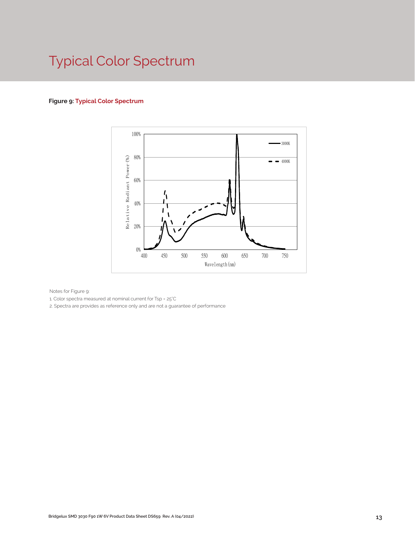# Typical Color Spectrum

#### **Figure 9: Typical Color Spectrum**



Notes for Figure 9:

1. Color spectra measured at nominal current for Tsp = 25°C

2. Spectra are provides as reference only and are not a guarantee of performance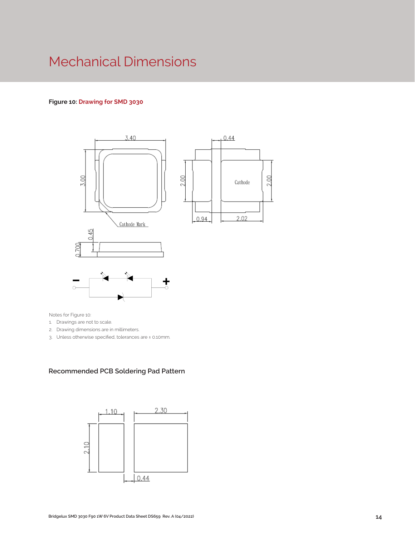# Mechanical Dimensions

#### **Figure 10: Drawing for SMD 3030**



Notes for Figure 10:

1. Drawings are not to scale.

- 2. Drawing dimensions are in millimeters.
- 3. Unless otherwise specified, tolerances are ± 0.10mm.

#### **Recommended PCB Soldering Pad Pattern**

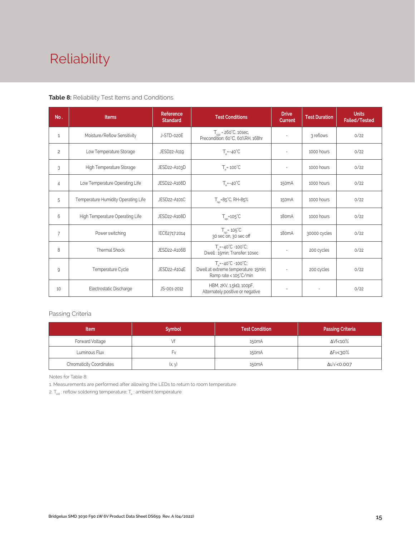# Reliability

#### **Table 8:** Reliability Test Items and Conditions

| No.            | <b>Items</b>                        | <b>Reference</b><br><b>Standard</b> | <b>Test Conditions</b>                                                                                 | <b>Drive</b><br><b>Current</b> | <b>Test Duration</b> | <b>Units</b><br>Failed/Tested |
|----------------|-------------------------------------|-------------------------------------|--------------------------------------------------------------------------------------------------------|--------------------------------|----------------------|-------------------------------|
| 1              | Moisture/Reflow Sensitivity         | J-STD-020E                          | $T_{\text{cld}}$ = 260°C, 10sec,<br>Precondition: 60°C, 60%RH, 168hr                                   | $\sim$                         | 3 reflows            | 0/22                          |
| $\overline{c}$ | Low Temperature Storage             | JESD22-A119                         | $T_a = -40^{\circ}C$                                                                                   | $\bar{a}$                      | 1000 hours           | 0/22                          |
| 3              | High Temperature Storage            | JESD22-A103D                        | $T_a = 100^{\circ}$ C                                                                                  | $\sim$                         | 1000 hours           | 0/22                          |
| 4              | Low Temperature Operating Life      | JESD22-A108D                        | $T_s = -40^{\circ}C$                                                                                   | 150 <sub>m</sub> A             | 1000 hours           | 0/22                          |
| 5              | Temperature Humidity Operating Life | JESD22-A101C                        | $T_{SD} = 85^{\circ}$ C, RH=85%                                                                        | 150 <sub>m</sub> A             | 1000 hours           | 0/22                          |
| 6              | High Temperature Operating Life     | JESD22-A108D                        | $T_{\rm sn}$ =105°C                                                                                    | 180 <sub>m</sub> A             | 1000 hours           | 0/22                          |
| $\overline{7}$ | Power switching                     | IEC62717:2014                       | $T_{SD} = 105^{\circ}C$<br>30 sec on, 30 sec off                                                       | 180 <sub>m</sub> A             | 30000 cycles         | 0/22                          |
| 8              | <b>Thermal Shock</b>                | JESD22-A106B                        | $T_a = -40^{\circ}C - 100^{\circ}C$ ;<br>Dwell: 15min; Transfer: 10sec                                 | $\sim$                         | 200 cycles           | 0/22                          |
| 9              | Temperature Cycle                   | JESD22-A104E                        | $T_a = -40^{\circ}C - 100^{\circ}C$ ;<br>Dwell at extreme temperature: 15min;<br>Ramp rate < 105°C/min |                                | 200 cycles           | 0/22                          |
| 10             | Electrostatic Discharge             | JS-001-2012                         | HBM, $2KV$ , $1.5k\Omega$ , 100pF,<br>Alternately positive or negative                                 | $\overline{\phantom{a}}$       |                      | 0/22                          |

#### Passing Criteria

| <b>Item</b>                     | <b>Symbol</b> | <b>Test Condition</b> | <b>Passing Criteria</b> |
|---------------------------------|---------------|-----------------------|-------------------------|
| Forward Voltage                 |               | 150 <sub>m</sub> A    | ΔVf<10%                 |
| Luminous Flux                   | ۲v            | 150 <sub>m</sub> A    | ΔFν<30%                 |
| <b>Chromaticity Coordinates</b> | (x, y)        | 150 <sub>m</sub> A    | Δu'v'<0.007             |

Notes for Table 8:

1. Measurements are performed after allowing the LEDs to return to room temperature

2.  $T_{\scriptscriptstyle \rm std}$  : reflow soldering temperature;  $T_{\scriptscriptstyle \rm a}$  : ambient temperature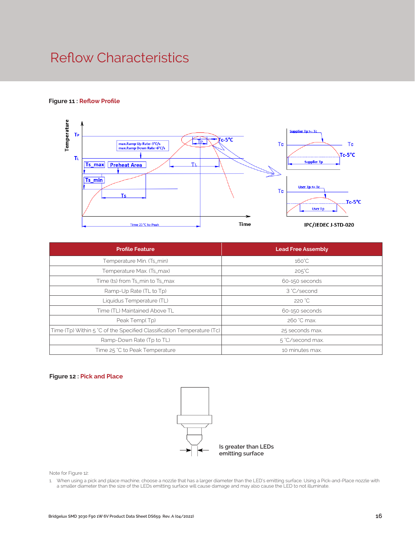# Reflow Characteristics

#### **Figure 11 : Reflow Profile**



| <b>Profile Feature</b>                                                 | <b>Lead Free Assembly</b> |  |  |
|------------------------------------------------------------------------|---------------------------|--|--|
| Temperature Min. (Ts_min)                                              | $160^{\circ}$ C           |  |  |
| Temperature Max. (Ts_max)                                              | $205^{\circ}C$            |  |  |
| Time (ts) from Ts_min to Ts_max                                        | 60-150 seconds            |  |  |
| Ramp-Up Rate (TL to Tp)                                                | 3 °C/second               |  |  |
| Liquidus Temperature (TL)                                              | 220 °C                    |  |  |
| Time (TL) Maintained Above TL                                          | 60-150 seconds            |  |  |
| Peak Temp(Tp)                                                          | 260 °C max.               |  |  |
| Time (Tp) Within 5 °C of the Specified Classification Temperature (Tc) | 25 seconds max.           |  |  |
| Ramp-Down Rate (Tp to TL)                                              | 5 °C/second max.          |  |  |
| Time 25 °C to Peak Temperature                                         | 10 minutes max.           |  |  |

#### **Figure 12 : Pick and Place**



Note for Figure 12:

1. When using a pick and place machine, choose a nozzle that has a larger diameter than the LED's emitting surface. Using a Pick-and-Place nozzle with a smaller diameter than the size of the LEDs emitting surface will cause damage and may also cause the LED to not illuminate.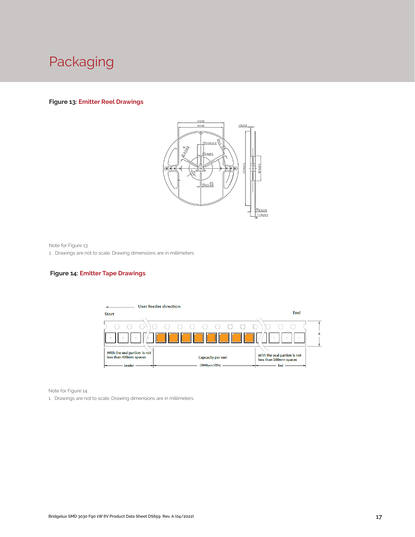

#### **Figure 13: Emitter Reel Drawings**



Note for Figure 13:

1. Drawings are not to scale. Drawing dimensions are in millimeters.

#### **Figure 14: Emitter Tape Drawings**



Note for Figure 14:

1. Drawings are not to scale. Drawing dimensions are in millimeters.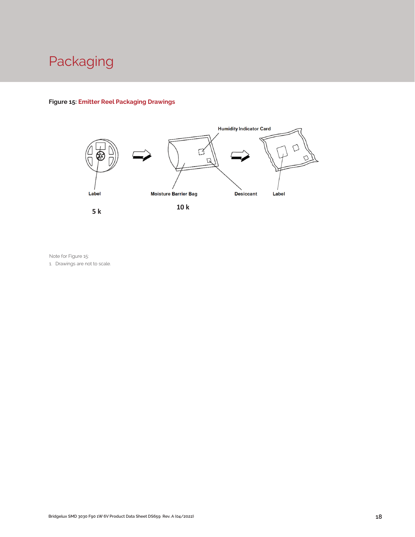# Packaging

#### **Figure 15: Emitter Reel Packaging Drawings**



Note for Figure 15:

1. Drawings are not to scale.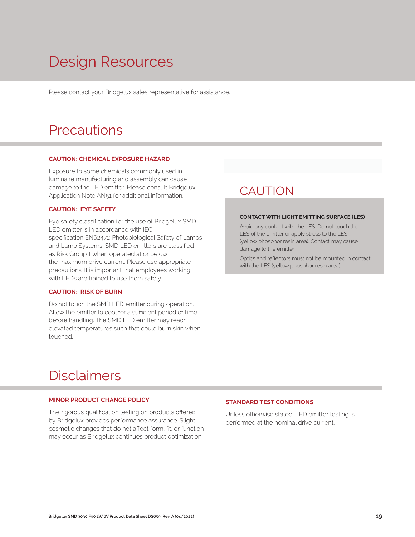# Design Resources

Please contact your Bridgelux sales representative for assistance.

### **Precautions**

#### **CAUTION: CHEMICAL EXPOSURE HAZARD**

Exposure to some chemicals commonly used in luminaire manufacturing and assembly can cause damage to the LED emitter. Please consult Bridgelux Application Note AN51 for additional information.

#### **CAUTION: EYE SAFETY**

Eye safety classification for the use of Bridgelux SMD LED emitter is in accordance with IEC specification EN62471: Photobiological Safety of Lamps and Lamp Systems. SMD LED emitters are classified as Risk Group 1 when operated at or below the maximum drive current. Please use appropriate precautions. It is important that employees working with LEDs are trained to use them safely.

#### **CAUTION: RISK OF BURN**

Do not touch the SMD LED emitter during operation. Allow the emitter to cool for a sufficient period of time before handling. The SMD LED emitter may reach elevated temperatures such that could burn skin when touched.

### **CAUTION**

#### **CONTACT WITH LIGHT EMITTING SURFACE (LES)**

Avoid any contact with the LES. Do not touch the LES of the emitter or apply stress to the LES (yellow phosphor resin area). Contact may cause damage to the emitter

Optics and reflectors must not be mounted in contact with the LES (yellow phosphor resin area).

### Disclaimers

#### **MINOR PRODUCT CHANGE POLICY**

The rigorous qualification testing on products offered by Bridgelux provides performance assurance. Slight cosmetic changes that do not affect form, fit, or function may occur as Bridgelux continues product optimization.

#### **STANDARD TEST CONDITIONS**

Unless otherwise stated, LED emitter testing is performed at the nominal drive current.